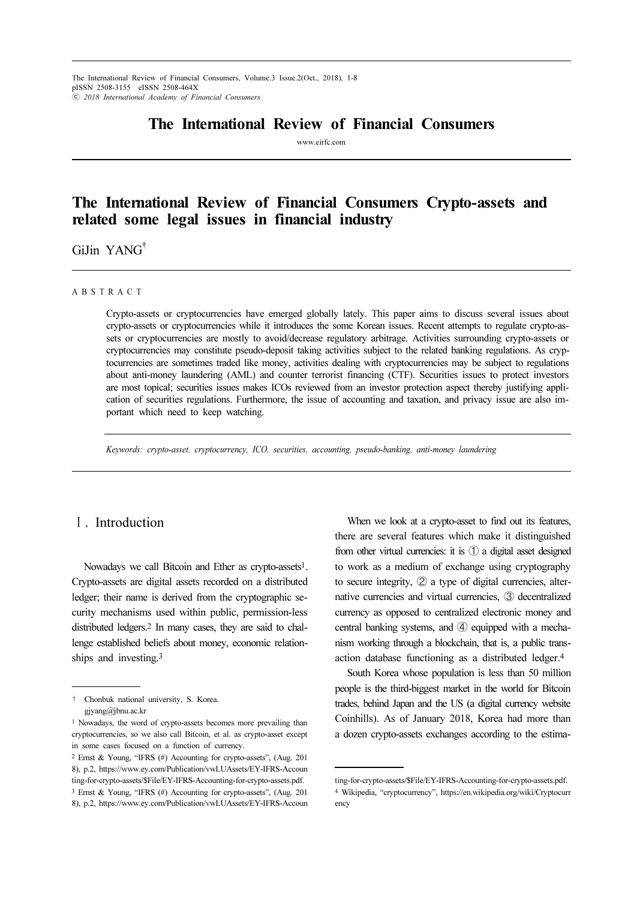The International Review of Financial Consumers, Volume.3 Issue.2(Oct., 2018), 1-8 pISSN 2508-3155 eISSN 2508-464X ⓒ 2018 International Academy of Financial Consumers

# The International Review of Financial Consumers

www.eirfc.com

# The International Review of Financial Consumers Crypto-assets and related some legal issues in financial industry

Gilin YANG<sup>†</sup>

#### A B S T R A C T

Crypto-assets or cryptocurrencies have emerged globally lately. This paper aims to discuss several issues about crypto-assets or cryptocurrencies while it introduces the some Korean issues. Recent attempts to regulate crypto-assets or cryptocurrencies are mostly to avoid/decrease regulatory arbitrage. Activities surrounding crypto-assets or cryptocurrencies may constitute pseudo-deposit taking activities subject to the related banking regulations. As cryptocurrencies are sometimes traded like money, activities dealing with cryptocurrencies may be subject to regulations about anti-money laundering (AML) and counter terrorist financing (CTF). Securities issues to protect investors are most topical; securities issues makes ICOs reviewed from an investor protection aspect thereby justifying application of securities regulations. Furthermore, the issue of accounting and taxation, and privacy issue are also important which need to keep watching.

Keywords: crypto-asset, cryptocurrency, ICO, securities, accounting, pseudo-banking, anti-money laundering

# Ⅰ. Introduction

Nowadays we call Bitcoin and Ether as crypto-assets1. Crypto-assets are digital assets recorded on a distributed ledger; their name is derived from the cryptographic security mechanisms used within public, permission-less distributed ledgers.2 In many cases, they are said to challenge established beliefs about money, economic relationships and investing.<sup>3</sup>

† Chonbuk national university, S. Korea. gjyang@jbnu.ac.kr

When we look at a crypto-asset to find out its features, there are several features which make it distinguished from other virtual currencies: it is  $\bigcirc$  a digital asset designed to work as a medium of exchange using cryptography to secure integrity,  $\oslash$  a type of digital currencies, alternative currencies and virtual currencies, ➂ decentralized currency as opposed to centralized electronic money and central banking systems, and  $\Phi$  equipped with a mechanism working through a blockchain, that is, a public transaction database functioning as a distributed ledger.<sup>4</sup>

South Korea whose population is less than 50 million people is the third-biggest market in the world for Bitcoin trades, behind Japan and the US (a digital currency website Coinhills). As of January 2018, Korea had more than a dozen crypto-assets exchanges according to the estima-

<sup>1</sup> Nowadays, the word of crypto-assets becomes more prevailing than cryptocurrencies, so we also call Bitcoin, et al. as crypto-asset except in some cases focused on a function of currency.

<sup>2</sup> Ernst & Young, "IFRS (#) Accounting for crypto-assets", (Aug. 201 8), p.2, https://www.ey.com/Publication/vwLUAssets/EY-IFRS-Accoun ting-for-crypto-assets/\$File/EY-IFRS-Accounting-for-crypto-assets.pdf. <sup>3</sup> Ernst & Young, "IFRS (#) Accounting for crypto-assets", (Aug. 201 8), p.2, https://www.ey.com/Publication/vwLUAssets/EY-IFRS-Accoun

ting-for-crypto-assets/\$File/EY-IFRS-Accounting-for-crypto-assets.pdf. <sup>4</sup> Wikipedia, "cryptocurrency", https://en.wikipedia.org/wiki/Cryptocurr ency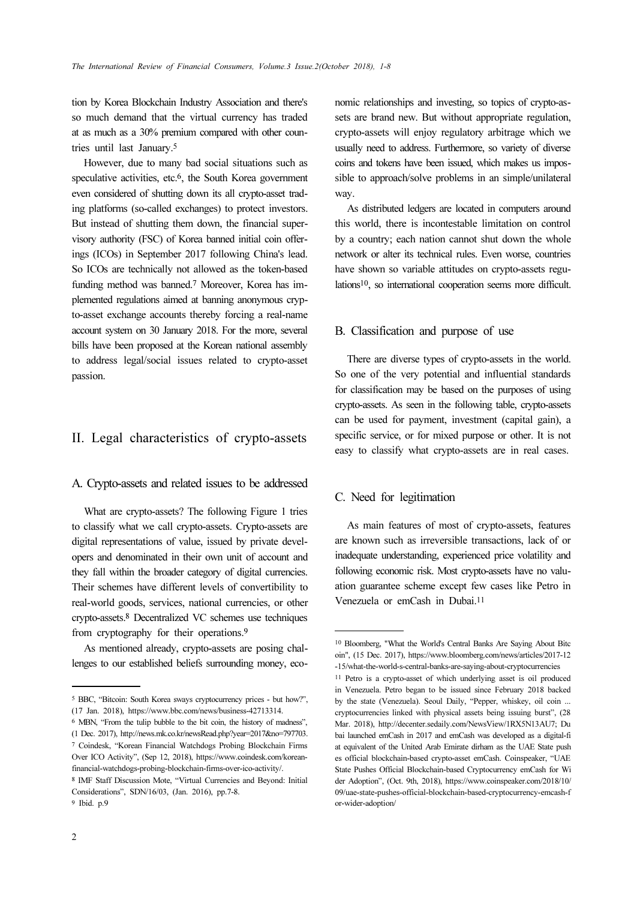tion by Korea Blockchain Industry Association and there's so much demand that the virtual currency has traded at as much as a 30% premium compared with other countries until last January.<sup>5</sup>

However, due to many bad social situations such as speculative activities, etc.<sup>6</sup>, the South Korea government even considered of shutting down its all crypto-asset trading platforms (so-called exchanges) to protect investors. But instead of shutting them down, the financial supervisory authority (FSC) of Korea banned initial coin offerings (ICOs) in September 2017 following China's lead. So ICOs are technically not allowed as the token-based funding method was banned.7 Moreover, Korea has implemented regulations aimed at banning anonymous crypto-asset exchange accounts thereby forcing a real-name account system on 30 January 2018. For the more, several bills have been proposed at the Korean national assembly to address legal/social issues related to crypto-asset passion.

# II. Legal characteristics of crypto-assets

### A. Crypto-assets and related issues to be addressed

What are crypto-assets? The following Figure 1 tries to classify what we call crypto-assets. Crypto-assets are digital representations of value, issued by private developers and denominated in their own unit of account and they fall within the broader category of digital currencies. Their schemes have different levels of convertibility to real-world goods, services, national currencies, or other crypto-assets.8 Decentralized VC schemes use techniques from cryptography for their operations.<sup>9</sup>

As mentioned already, crypto-assets are posing challenges to our established beliefs surrounding money, eco-

<sup>6</sup> MBN, "From the tulip bubble to the bit coin, the history of madness", (1 Dec. 2017), http://news.mk.co.kr/newsRead.php?year=2017&no=797703. <sup>7</sup> Coindesk, "Korean Financial Watchdogs Probing Blockchain Firms Over ICO Activity", (Sep 12, 2018), https://www.coindesk.com/koreanfinancial-watchdogs-probing-blockchain-firms-over-ico-activity/.

<sup>8</sup> IMF Staff Discussion Mote, "Virtual Currencies and Beyond: Initial Considerations", SDN/16/03, (Jan. 2016), pp.7-8. <sup>9</sup> Ibid. p.9

As distributed ledgers are located in computers around this world, there is incontestable limitation on control by a country; each nation cannot shut down the whole network or alter its technical rules. Even worse, countries have shown so variable attitudes on crypto-assets regulations10, so international cooperation seems more difficult.

## B. Classification and purpose of use

There are diverse types of crypto-assets in the world. So one of the very potential and influential standards for classification may be based on the purposes of using crypto-assets. As seen in the following table, crypto-assets can be used for payment, investment (capital gain), a specific service, or for mixed purpose or other. It is not easy to classify what crypto-assets are in real cases.

# C. Need for legitimation

As main features of most of crypto-assets, features are known such as irreversible transactions, lack of or inadequate understanding, experienced price volatility and following economic risk. Most crypto-assets have no valuation guarantee scheme except few cases like Petro in Venezuela or emCash in Dubai.<sup>11</sup>

<sup>5</sup> BBC, "Bitcoin: South Korea sways cryptocurrency prices - but how?", (17 Jan. 2018), https://www.bbc.com/news/business-42713314.

nomic relationships and investing, so topics of crypto-assets are brand new. But without appropriate regulation, crypto-assets will enjoy regulatory arbitrage which we usually need to address. Furthermore, so variety of diverse coins and tokens have been issued, which makes us impossible to approach/solve problems in an simple/unilateral way.

<sup>10</sup> Bloomberg, "What the World's Central Banks Are Saying About Bitc oin", (15 Dec. 2017), https://www.bloomberg.com/news/articles/2017-12 -15/what-the-world-s-central-banks-are-saying-about-cryptocurrencies

<sup>11</sup> Petro is a crypto-asset of which underlying asset is oil produced in Venezuela. Petro began to be issued since February 2018 backed by the state (Venezuela). Seoul Daily, "Pepper, whiskey, oil coin ... cryptocurrencies linked with physical assets being issuing burst", (28 Mar. 2018), http://decenter.sedaily.com/NewsView/1RX5N13AU7; Du bai launched emCash in 2017 and emCash was developed as a digital-fi at equivalent of the United Arab Emirate dirham as the UAE State push es official blockchain-based crypto-asset emCash. Coinspeaker, "UAE State Pushes Official Blockchain-based Cryptocurrency emCash for Wi der Adoption", (Oct. 9th, 2018), https://www.coinspeaker.com/2018/10/ 09/uae-state-pushes-official-blockchain-based-cryptocurrency-emcash-f or-wider-adoption/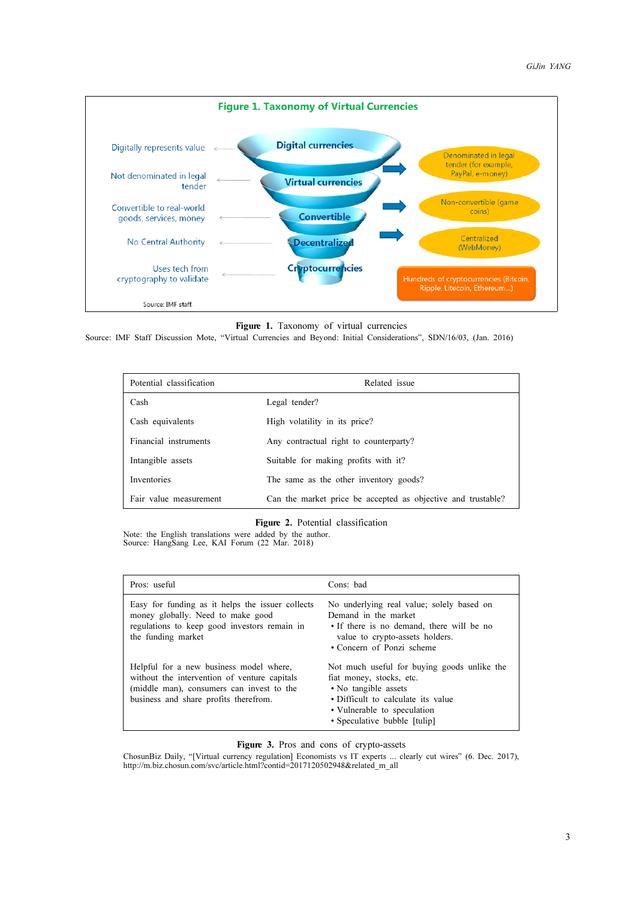

Figure 1. Taxonomy of virtual currencies

Source: IMF Staff Discussion Mote, "Virtual Currencies and Beyond: Initial Considerations", SDN/16/03, (Jan. 2016)

| Potential classification | Related issue                                                |
|--------------------------|--------------------------------------------------------------|
| Cash                     | Legal tender?                                                |
| Cash equivalents         | High volatility in its price?                                |
| Financial instruments    | Any contractual right to counterparty?                       |
| Intangible assets        | Suitable for making profits with it?                         |
| Inventories              | The same as the other inventory goods?                       |
| Fair value measurement   | Can the market price be accepted as objective and trustable? |

#### Figure 2. Potential classification

Note: the English translations were added by the author. Source: HangSang Lee, KAI Forum (22 Mar. 2018)

| Pros: useful                                                                                                                                                                  | Cons: bad                                                                                                                                                                                            |
|-------------------------------------------------------------------------------------------------------------------------------------------------------------------------------|------------------------------------------------------------------------------------------------------------------------------------------------------------------------------------------------------|
| Easy for funding as it helps the issuer collects<br>money globally. Need to make good<br>regulations to keep good investors remain in<br>the funding market                   | No underlying real value; solely based on<br>Demand in the market<br>• If there is no demand, there will be no<br>value to crypto-assets holders.<br>• Concern of Ponzi scheme                       |
| Helpful for a new business model where,<br>without the intervention of venture capitals<br>(middle man), consumers can invest to the<br>business and share profits therefrom. | Not much useful for buying goods unlike the<br>fiat money, stocks, etc.<br>• No tangible assets<br>• Difficult to calculate its value<br>• Vulnerable to speculation<br>• Speculative bubble [tulip] |

**Figure 3.** Pros and cons of crypto-assets<br>ChosunBiz Daily, "[Virtual currency regulation] Economists vs IT experts ... clearly cut wires" (6. Dec. 2017),<br>http://m.biz.chosun.com/svc/article.html?contid=2017120502948&relat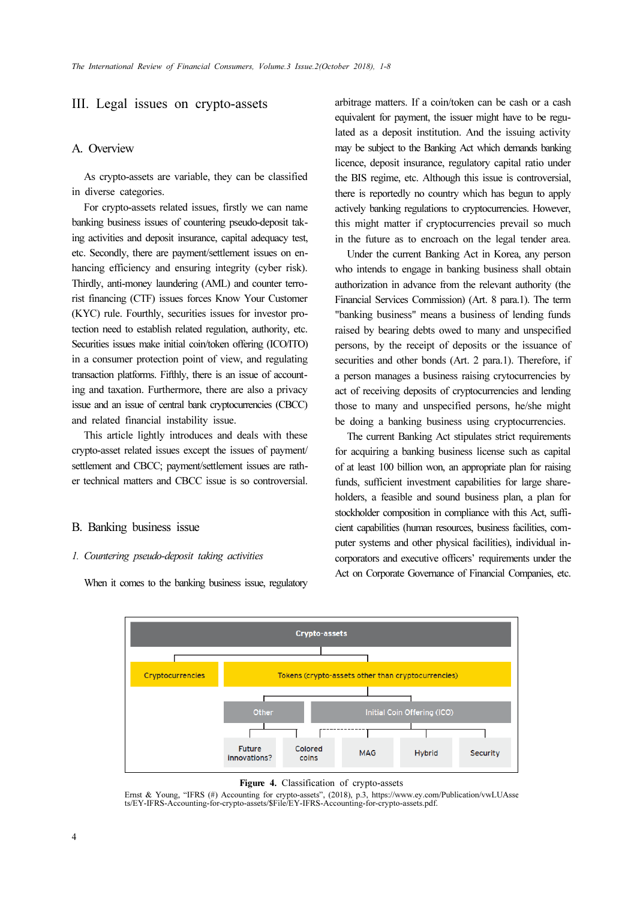# III. Legal issues on crypto-assets

# A. Overview

As crypto-assets are variable, they can be classified in diverse categories.

For crypto-assets related issues, firstly we can name banking business issues of countering pseudo-deposit taking activities and deposit insurance, capital adequacy test, etc. Secondly, there are payment/settlement issues on enhancing efficiency and ensuring integrity (cyber risk). Thirdly, anti-money laundering (AML) and counter terrorist financing (CTF) issues forces Know Your Customer (KYC) rule. Fourthly, securities issues for investor protection need to establish related regulation, authority, etc. Securities issues make initial coin/token offering (ICO/ITO) in a consumer protection point of view, and regulating transaction platforms. Fifthly, there is an issue of accounting and taxation. Furthermore, there are also a privacy issue and an issue of central bank cryptocurrencies (CBCC) and related financial instability issue.

This article lightly introduces and deals with these crypto-asset related issues except the issues of payment/ settlement and CBCC; payment/settlement issues are rather technical matters and CBCC issue is so controversial.

#### B. Banking business issue

#### 1. Countering pseudo-deposit taking activities

When it comes to the banking business issue, regulatory

arbitrage matters. If a coin/token can be cash or a cash equivalent for payment, the issuer might have to be regulated as a deposit institution. And the issuing activity may be subject to the Banking Act which demands banking licence, deposit insurance, regulatory capital ratio under the BIS regime, etc. Although this issue is controversial, there is reportedly no country which has begun to apply actively banking regulations to cryptocurrencies. However, this might matter if cryptocurrencies prevail so much in the future as to encroach on the legal tender area.

Under the current Banking Act in Korea, any person who intends to engage in banking business shall obtain authorization in advance from the relevant authority (the Financial Services Commission) (Art. 8 para.1). The term "banking business" means a business of lending funds raised by bearing debts owed to many and unspecified persons, by the receipt of deposits or the issuance of securities and other bonds (Art. 2 para.1). Therefore, if a person manages a business raising crytocurrencies by act of receiving deposits of cryptocurrencies and lending those to many and unspecified persons, he/she might be doing a banking business using cryptocurrencies.

The current Banking Act stipulates strict requirements for acquiring a banking business license such as capital of at least 100 billion won, an appropriate plan for raising funds, sufficient investment capabilities for large shareholders, a feasible and sound business plan, a plan for stockholder composition in compliance with this Act, sufficient capabilities (human resources, business facilities, computer systems and other physical facilities), individual incorporators and executive officers' requirements under the Act on Corporate Governance of Financial Companies, etc.



**Figure 4.** Classification of crypto-assets<br>Ernst & Young, "IFRS (#) Accounting for crypto-assets", (2018), p.3, https://www.ey.com/Publication/vwLUAsse ts/EY-IFRS-Accounting-for-crypto-assets/\$File/EY-IFRS-Accounting-for-crypto-assets.pdf.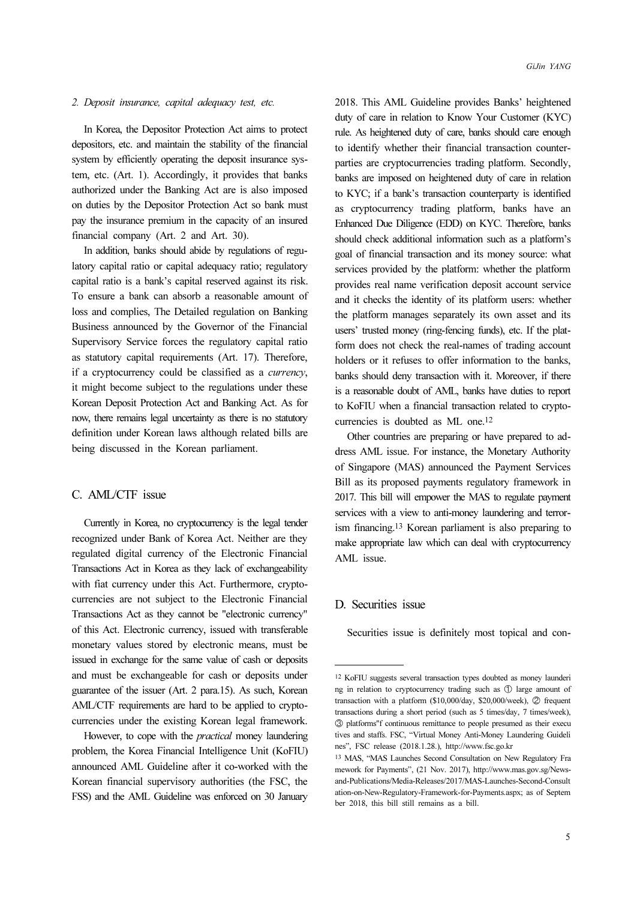## 2. Deposit insurance, capital adequacy test, etc.

In Korea, the Depositor Protection Act aims to protect depositors, etc. and maintain the stability of the financial system by efficiently operating the deposit insurance system, etc. (Art. 1). Accordingly, it provides that banks authorized under the Banking Act are is also imposed on duties by the Depositor Protection Act so bank must pay the insurance premium in the capacity of an insured financial company (Art. 2 and Art. 30).

In addition, banks should abide by regulations of regulatory capital ratio or capital adequacy ratio; regulatory capital ratio is a bank's capital reserved against its risk. To ensure a bank can absorb a reasonable amount of loss and complies, The Detailed regulation on Banking Business announced by the Governor of the Financial Supervisory Service forces the regulatory capital ratio as statutory capital requirements (Art. 17). Therefore, if a cryptocurrency could be classified as a currency, it might become subject to the regulations under these Korean Deposit Protection Act and Banking Act. As for now, there remains legal uncertainty as there is no statutory definition under Korean laws although related bills are being discussed in the Korean parliament.

# C. AML/CTF issue

Currently in Korea, no cryptocurrency is the legal tender recognized under Bank of Korea Act. Neither are they regulated digital currency of the Electronic Financial Transactions Act in Korea as they lack of exchangeability with fiat currency under this Act. Furthermore, cryptocurrencies are not subject to the Electronic Financial Transactions Act as they cannot be "electronic currency" of this Act. Electronic currency, issued with transferable monetary values stored by electronic means, must be issued in exchange for the same value of cash or deposits and must be exchangeable for cash or deposits under guarantee of the issuer (Art. 2 para.15). As such, Korean AML/CTF requirements are hard to be applied to cryptocurrencies under the existing Korean legal framework.

However, to cope with the *practical* money laundering problem, the Korea Financial Intelligence Unit (KoFIU) announced AML Guideline after it co-worked with the Korean financial supervisory authorities (the FSC, the FSS) and the AML Guideline was enforced on 30 January

2018. This AML Guideline provides Banks' heightened duty of care in relation to Know Your Customer (KYC) rule. As heightened duty of care, banks should care enough to identify whether their financial transaction counterparties are cryptocurrencies trading platform. Secondly, banks are imposed on heightened duty of care in relation to KYC; if a bank's transaction counterparty is identified as cryptocurrency trading platform, banks have an Enhanced Due Diligence (EDD) on KYC. Therefore, banks should check additional information such as a platform's goal of financial transaction and its money source: what services provided by the platform: whether the platform provides real name verification deposit account service and it checks the identity of its platform users: whether the platform manages separately its own asset and its users' trusted money (ring-fencing funds), etc. If the platform does not check the real-names of trading account holders or it refuses to offer information to the banks. banks should deny transaction with it. Moreover, if there is a reasonable doubt of AML, banks have duties to report to KoFIU when a financial transaction related to cryptocurrencies is doubted as ML one.<sup>12</sup>

Other countries are preparing or have prepared to address AML issue. For instance, the Monetary Authority of Singapore (MAS) announced the Payment Services Bill as its proposed payments regulatory framework in 2017. This bill will empower the MAS to regulate payment services with a view to anti-money laundering and terrorism financing.13 Korean parliament is also preparing to make appropriate law which can deal with cryptocurrency AML issue.

# D. Securities issue

Securities issue is definitely most topical and con-

<sup>12</sup> KoFIU suggests several transaction types doubted as money launderi ng in relation to cryptocurrency trading such as ➀ large amount of transaction with a platform (\$10,000/day, \$20,000/week),  $\oslash$  frequent transactions during a short period (such as 5 times/day, 7 times/week), ➂ platforms"f continuous remittance to people presumed as their execu tives and staffs. FSC, "Virtual Money Anti-Money Laundering Guideli nes", FSC release (2018.1.28.), http://www.fsc.go.kr

<sup>13</sup> MAS, "MAS Launches Second Consultation on New Regulatory Fra mework for Payments", (21 Nov. 2017), http://www.mas.gov.sg/Newsand-Publications/Media-Releases/2017/MAS-Launches-Second-Consult ation-on-New-Regulatory-Framework-for-Payments.aspx; as of Septem ber 2018, this bill still remains as a bill.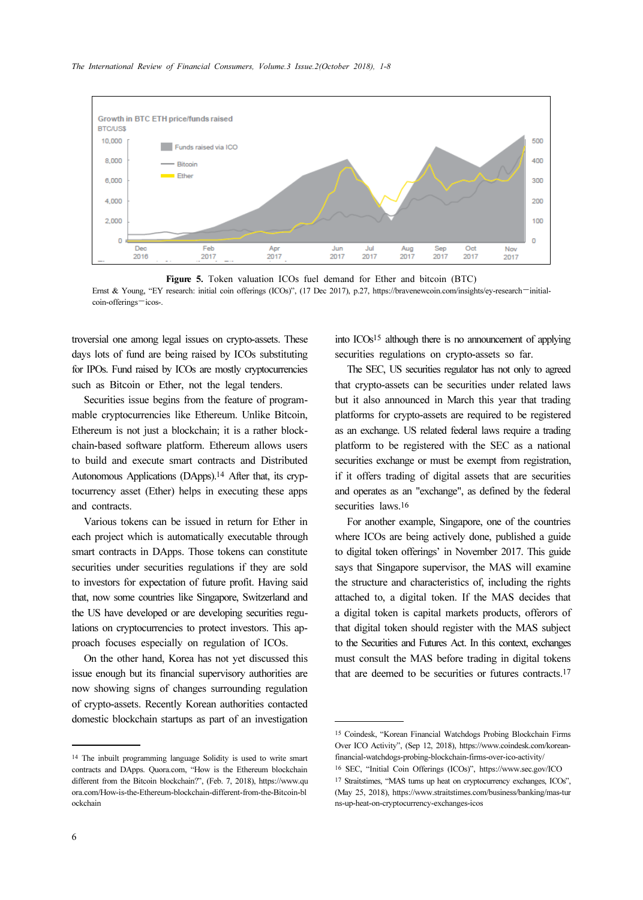

Figure 5. Token valuation ICOs fuel demand for Ether and bitcoin (BTC) Ernst & Young, "EY research: initial coin offerings (ICOs)", (17 Dec 2017), p.27, https://bravenewcoin.com/insights/ey-research—initialcoin-offerings—icos-.

troversial one among legal issues on crypto-assets. These days lots of fund are being raised by ICOs substituting for IPOs. Fund raised by ICOs are mostly cryptocurrencies such as Bitcoin or Ether, not the legal tenders.

Securities issue begins from the feature of programmable cryptocurrencies like Ethereum. Unlike Bitcoin, Ethereum is not just a blockchain; it is a rather blockchain-based software platform. Ethereum allows users to build and execute smart contracts and Distributed Autonomous Applications (DApps).14 After that, its cryptocurrency asset (Ether) helps in executing these apps and contracts.

Various tokens can be issued in return for Ether in each project which is automatically executable through smart contracts in DApps. Those tokens can constitute securities under securities regulations if they are sold to investors for expectation of future profit. Having said that, now some countries like Singapore, Switzerland and the US have developed or are developing securities regulations on cryptocurrencies to protect investors. This approach focuses especially on regulation of ICOs.

On the other hand, Korea has not yet discussed this issue enough but its financial supervisory authorities are now showing signs of changes surrounding regulation of crypto-assets. Recently Korean authorities contacted domestic blockchain startups as part of an investigation

into ICOs15 although there is no announcement of applying securities regulations on crypto-assets so far.

The SEC, US securities regulator has not only to agreed that crypto-assets can be securities under related laws but it also announced in March this year that trading platforms for crypto-assets are required to be registered as an exchange. US related federal laws require a trading platform to be registered with the SEC as a national securities exchange or must be exempt from registration, if it offers trading of digital assets that are securities and operates as an "exchange", as defined by the federal securities laws.<sup>16</sup>

For another example, Singapore, one of the countries where ICOs are being actively done, published a guide to digital token offerings' in November 2017. This guide says that Singapore supervisor, the MAS will examine the structure and characteristics of, including the rights attached to, a digital token. If the MAS decides that a digital token is capital markets products, offerors of that digital token should register with the MAS subject to the Securities and Futures Act. In this context, exchanges must consult the MAS before trading in digital tokens that are deemed to be securities or futures contracts.<sup>17</sup>

<sup>14</sup> The inbuilt programming language Solidity is used to write smart contracts and DApps. Quora.com, "How is the Ethereum blockchain different from the Bitcoin blockchain?", (Feb. 7, 2018), https://www.qu ora.com/How-is-the-Ethereum-blockchain-different-from-the-Bitcoin-bl ockchain

<sup>15</sup> Coindesk, "Korean Financial Watchdogs Probing Blockchain Firms Over ICO Activity", (Sep 12, 2018), https://www.coindesk.com/koreanfinancial-watchdogs-probing-blockchain-firms-over-ico-activity/ <sup>16</sup> SEC, "Initial Coin Offerings (ICOs)", https://www.sec.gov/ICO

<sup>17</sup> Straitstimes, "MAS turns up heat on cryptocurrency exchanges, ICOs", (May 25, 2018), https://www.straitstimes.com/business/banking/mas-tur ns-up-heat-on-cryptocurrency-exchanges-icos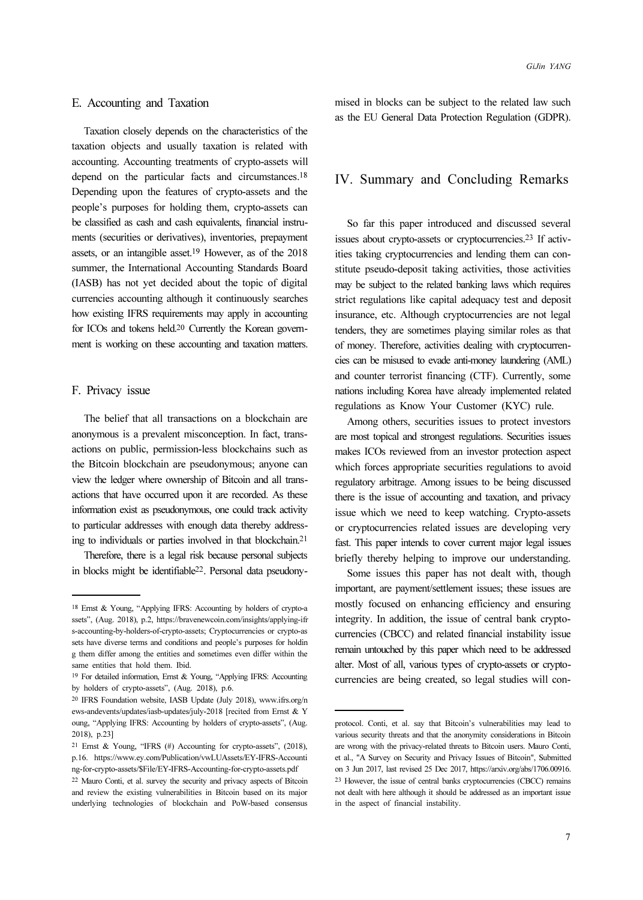## E. Accounting and Taxation

Taxation closely depends on the characteristics of the taxation objects and usually taxation is related with accounting. Accounting treatments of crypto-assets will depend on the particular facts and circumstances.<sup>18</sup> Depending upon the features of crypto-assets and the people's purposes for holding them, crypto-assets can be classified as cash and cash equivalents, financial instruments (securities or derivatives), inventories, prepayment assets, or an intangible asset.19 However, as of the 2018 summer, the International Accounting Standards Board (IASB) has not yet decided about the topic of digital currencies accounting although it continuously searches how existing IFRS requirements may apply in accounting for ICOs and tokens held.20 Currently the Korean government is working on these accounting and taxation matters.

# F. Privacy issue

The belief that all transactions on a blockchain are anonymous is a prevalent misconception. In fact, transactions on public, permission-less blockchains such as the Bitcoin blockchain are pseudonymous; anyone can view the ledger where ownership of Bitcoin and all transactions that have occurred upon it are recorded. As these information exist as pseudonymous, one could track activity to particular addresses with enough data thereby addressing to individuals or parties involved in that blockchain.<sup>21</sup>

Therefore, there is a legal risk because personal subjects in blocks might be identifiable22. Personal data pseudonymised in blocks can be subject to the related law such as the EU General Data Protection Regulation (GDPR).

# IV. Summary and Concluding Remarks

So far this paper introduced and discussed several issues about crypto-assets or cryptocurrencies.23 If activities taking cryptocurrencies and lending them can constitute pseudo-deposit taking activities, those activities may be subject to the related banking laws which requires strict regulations like capital adequacy test and deposit insurance, etc. Although cryptocurrencies are not legal tenders, they are sometimes playing similar roles as that of money. Therefore, activities dealing with cryptocurrencies can be misused to evade anti-money laundering (AML) and counter terrorist financing (CTF). Currently, some nations including Korea have already implemented related regulations as Know Your Customer (KYC) rule.

Among others, securities issues to protect investors are most topical and strongest regulations. Securities issues makes ICOs reviewed from an investor protection aspect which forces appropriate securities regulations to avoid regulatory arbitrage. Among issues to be being discussed there is the issue of accounting and taxation, and privacy issue which we need to keep watching. Crypto-assets or cryptocurrencies related issues are developing very fast. This paper intends to cover current major legal issues briefly thereby helping to improve our understanding.

Some issues this paper has not dealt with, though important, are payment/settlement issues; these issues are mostly focused on enhancing efficiency and ensuring integrity. In addition, the issue of central bank cryptocurrencies (CBCC) and related financial instability issue remain untouched by this paper which need to be addressed alter. Most of all, various types of crypto-assets or cryptocurrencies are being created, so legal studies will con-

<sup>18</sup> Ernst & Young, "Applying IFRS: Accounting by holders of crypto-a ssets", (Aug. 2018), p.2, https://bravenewcoin.com/insights/applying-ifr s-accounting-by-holders-of-crypto-assets; Cryptocurrencies or crypto-as sets have diverse terms and conditions and people's purposes for holdin g them differ among the entities and sometimes even differ within the same entities that hold them. Ibid.

<sup>19</sup> For detailed information, Ernst & Young, "Applying IFRS: Accounting by holders of crypto-assets", (Aug. 2018), p.6.

<sup>20</sup> IFRS Foundation website, IASB Update (July 2018), www.ifrs.org/n ews-andevents/updates/iasb-updates/july-2018 [recited from Ernst & Y oung, "Applying IFRS: Accounting by holders of crypto-assets", (Aug. 2018), p.23]

<sup>21</sup> Ernst & Young, "IFRS (#) Accounting for crypto-assets", (2018), p.16. https://www.ey.com/Publication/vwLUAssets/EY-IFRS-Accounti ng-for-crypto-assets/\$File/EY-IFRS-Accounting-for-crypto-assets.pdf

<sup>22</sup> Mauro Conti, et al. survey the security and privacy aspects of Bitcoin and review the existing vulnerabilities in Bitcoin based on its major underlying technologies of blockchain and PoW-based consensus

protocol. Conti, et al. say that Bitcoin's vulnerabilities may lead to various security threats and that the anonymity considerations in Bitcoin are wrong with the privacy-related threats to Bitcoin users. Mauro Conti, et al., "A Survey on Security and Privacy Issues of Bitcoin", Submitted on 3 Jun 2017, last revised 25 Dec 2017, https://arxiv.org/abs/1706.00916. <sup>23</sup> However, the issue of central banks cryptocurrencies (CBCC) remains not dealt with here although it should be addressed as an important issue in the aspect of financial instability.